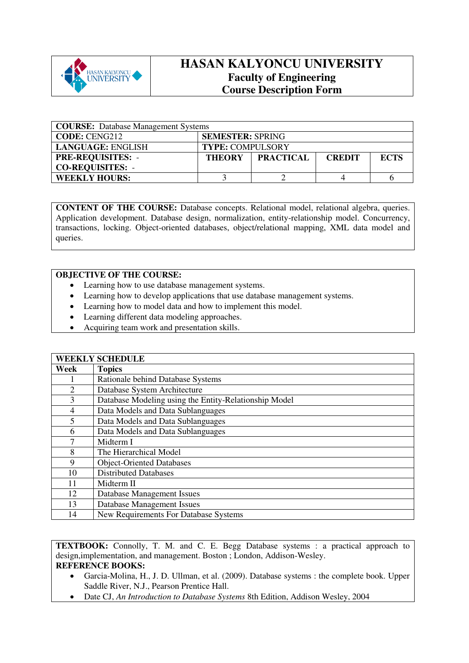

## **HASAN KALYONCU UNIVERSITY Faculty of Engineering Course Description Form**

| <b>COURSE:</b> Database Management Systems |                                                    |  |  |             |  |
|--------------------------------------------|----------------------------------------------------|--|--|-------------|--|
| <b>CODE: CENG212</b>                       | <b>SEMESTER: SPRING</b>                            |  |  |             |  |
| LANGUAGE: ENGLISH                          | <b>TYPE: COMPULSORY</b>                            |  |  |             |  |
| <b>PRE-REQUISITES: -</b>                   | <b>PRACTICAL</b><br><b>THEORY</b><br><b>CREDIT</b> |  |  | <b>ECTS</b> |  |
| <b>CO-REQUISITES: -</b>                    |                                                    |  |  |             |  |
| <b>WEEKLY HOURS:</b>                       |                                                    |  |  |             |  |

**CONTENT OF THE COURSE:** Database concepts. Relational model, relational algebra, queries. Application development. Database design, normalization, entity-relationship model. Concurrency, transactions, locking. Object-oriented databases, object/relational mapping, XML data model and queries.

## **OBJECTIVE OF THE COURSE:**

- Learning how to use database management systems.
- Learning how to develop applications that use database management systems.
- Learning how to model data and how to implement this model.
- Learning different data modeling approaches.
- Acquiring team work and presentation skills.

|                | <b>WEEKLY SCHEDULE</b>                                |  |  |  |  |  |
|----------------|-------------------------------------------------------|--|--|--|--|--|
| Week           | <b>Topics</b>                                         |  |  |  |  |  |
|                | Rationale behind Database Systems                     |  |  |  |  |  |
| $\overline{2}$ | Database System Architecture                          |  |  |  |  |  |
| 3              | Database Modeling using the Entity-Relationship Model |  |  |  |  |  |
| $\overline{4}$ | Data Models and Data Sublanguages                     |  |  |  |  |  |
| 5              | Data Models and Data Sublanguages                     |  |  |  |  |  |
| 6              | Data Models and Data Sublanguages                     |  |  |  |  |  |
| 7              | Midterm I                                             |  |  |  |  |  |
| 8              | The Hierarchical Model                                |  |  |  |  |  |
| 9              | <b>Object-Oriented Databases</b>                      |  |  |  |  |  |
| 10             | <b>Distributed Databases</b>                          |  |  |  |  |  |
| 11             | Midterm II                                            |  |  |  |  |  |
| 12             | Database Management Issues                            |  |  |  |  |  |
| 13             | <b>Database Management Issues</b>                     |  |  |  |  |  |
| 14             | <b>New Requirements For Database Systems</b>          |  |  |  |  |  |

**TEXTBOOK:** Connolly, T. M. and C. E. Begg Database systems : a practical approach to design,implementation, and management. Boston ; London, Addison-Wesley. **REFERENCE BOOKS:** 

- Garcia-Molina, H., J. D. Ullman, et al. (2009). Database systems : the complete book. Upper Saddle River, N.J., Pearson Prentice Hall.
- Date CJ, *An Introduction to Database Systems* 8th Edition, Addison Wesley, 2004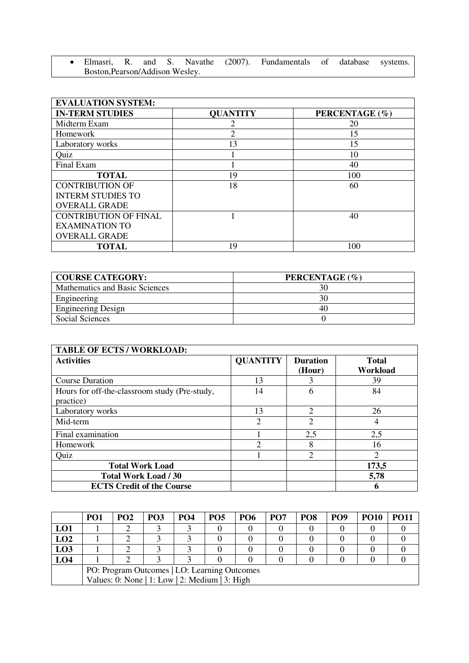• Elmasri, R. and S. Navathe (2007). Fundamentals of database systems. Boston,Pearson/Addison Wesley.

| <b>EVALUATION SYSTEM:</b>    |                 |                |  |  |  |  |  |
|------------------------------|-----------------|----------------|--|--|--|--|--|
| <b>IN-TERM STUDIES</b>       | <b>QUANTITY</b> | PERCENTAGE (%) |  |  |  |  |  |
| Midterm Exam                 |                 | 20             |  |  |  |  |  |
| Homework                     | 2               | 15             |  |  |  |  |  |
| Laboratory works             | 13              | 15             |  |  |  |  |  |
| Quiz                         |                 | 10             |  |  |  |  |  |
| Final Exam                   |                 | 40             |  |  |  |  |  |
| <b>TOTAL</b>                 | 19              | 100            |  |  |  |  |  |
| <b>CONTRIBUTION OF</b>       | 18              | 60             |  |  |  |  |  |
| <b>INTERM STUDIES TO</b>     |                 |                |  |  |  |  |  |
| <b>OVERALL GRADE</b>         |                 |                |  |  |  |  |  |
| <b>CONTRIBUTION OF FINAL</b> |                 | 40             |  |  |  |  |  |
| <b>EXAMINATION TO</b>        |                 |                |  |  |  |  |  |
| <b>OVERALL GRADE</b>         |                 |                |  |  |  |  |  |
| <b>TOTAL</b>                 | 19              | 100            |  |  |  |  |  |

| <b>COURSE CATEGORY:</b>        | PERCENTAGE (%) |
|--------------------------------|----------------|
| Mathematics and Basic Sciences | 30             |
| Engineering                    |                |
| <b>Engineering Design</b>      | 40             |
| Social Sciences                |                |

| <b>TABLE OF ECTS / WORKLOAD:</b>                           |                               |                           |                          |  |  |  |  |
|------------------------------------------------------------|-------------------------------|---------------------------|--------------------------|--|--|--|--|
| <b>Activities</b>                                          | <b>QUANTITY</b>               | <b>Duration</b><br>(Hour) | <b>Total</b><br>Workload |  |  |  |  |
| <b>Course Duration</b>                                     | 13                            | 3                         | 39                       |  |  |  |  |
| Hours for off-the-classroom study (Pre-study,<br>practice) | 14                            | 6                         | 84                       |  |  |  |  |
| Laboratory works                                           | 13                            | $\overline{2}$            | 26                       |  |  |  |  |
| Mid-term                                                   | 2                             | $\overline{2}$            | 4                        |  |  |  |  |
| Final examination                                          |                               | 2,5                       | 2,5                      |  |  |  |  |
| Homework                                                   | $\mathfrak{D}_{\mathfrak{p}}$ | 8                         | 16                       |  |  |  |  |
| Quiz                                                       |                               | 2                         | 2                        |  |  |  |  |
| <b>Total Work Load</b>                                     |                               |                           | 173,5                    |  |  |  |  |
| <b>Total Work Load / 30</b>                                |                               |                           | 5,78                     |  |  |  |  |
| <b>ECTS Credit of the Course</b>                           |                               |                           | 6                        |  |  |  |  |

|                 | PO <sub>1</sub>                                | PO <sub>2</sub> | PO <sub>3</sub> | <b>PO4</b> | PO <sub>5</sub> | <b>PO6</b> | PO <sub>7</sub> | PO <sub>8</sub> | PO <sub>9</sub> | <b>PO10</b> | <b>PO11</b> |
|-----------------|------------------------------------------------|-----------------|-----------------|------------|-----------------|------------|-----------------|-----------------|-----------------|-------------|-------------|
| LO1             |                                                |                 |                 |            |                 |            |                 |                 |                 |             |             |
| LO2             |                                                |                 |                 |            |                 |            |                 |                 |                 |             |             |
| LO3             |                                                |                 |                 |            |                 |            |                 |                 |                 |             |             |
| LO <sub>4</sub> |                                                |                 |                 |            |                 |            |                 |                 |                 |             |             |
|                 | PO: Program Outcomes   LO: Learning Outcomes   |                 |                 |            |                 |            |                 |                 |                 |             |             |
|                 | Values: 0: None   1: Low   2: Medium   3: High |                 |                 |            |                 |            |                 |                 |                 |             |             |